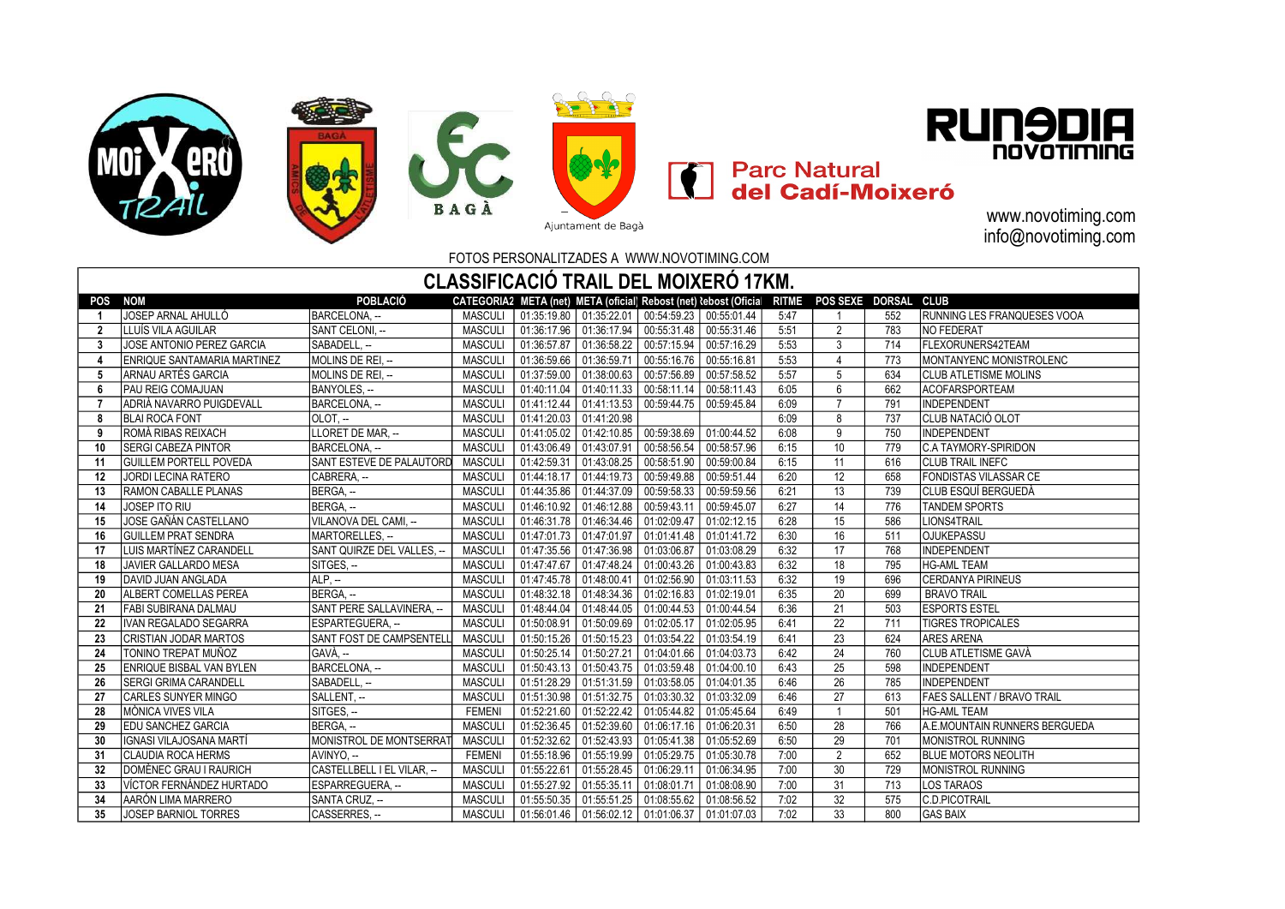





**En Parc Natural<br>En del Cadí-Moixeró** 

www.novotiming.com info@novotiming.com

B A G À<br>
Ajuntament de Bagà<br>
FOTOS PERSONALITZADES A WWW.NOVOTIMING.COM

| CLASSIFICACIÓ TRAIL DEL MOIXERÓ 17KM.                                                                                                                      |                                     |                                   |                |             |             |                                                          |             |      |                |     |                               |  |
|------------------------------------------------------------------------------------------------------------------------------------------------------------|-------------------------------------|-----------------------------------|----------------|-------------|-------------|----------------------------------------------------------|-------------|------|----------------|-----|-------------------------------|--|
| POBLACIÓ<br><b>CLUB</b><br><b>NOM</b><br>CATEGORIA2 META (net) META (oficial) Rebost (net) lebost (Oficia<br><b>RITME</b><br>POS SEXE DORSAL<br><b>POS</b> |                                     |                                   |                |             |             |                                                          |             |      |                |     |                               |  |
| -1                                                                                                                                                         | JOSEP ARNAL AHULLÓ                  | BARCELONA. --                     | <b>MASCULI</b> |             |             | 01:35:19.80   01:35:22.01   00:54:59.23   00:55:01.44    |             | 5:47 |                | 552 | RUNNING LES FRANQUESES VOOA   |  |
| $\overline{2}$                                                                                                                                             | LLUÍS VILA AGUILAR                  | <b>SANT CELONI. --</b>            | <b>MASCULI</b> | 01:36:17.96 |             | $01:36:17.94$ 00:55:31.48 00:55:31.46                    |             | 5:51 | $\overline{2}$ | 783 | <b>NO FEDERAT</b>             |  |
| 3                                                                                                                                                          | JOSE ANTONIO PEREZ GARCIA           | SABADELL. --                      | <b>MASCULI</b> | 01:36:57.87 |             | 01:36:58.22 00:57:15.94 00:57:16.29                      |             | 5:53 | 3              | 714 | FLEXORUNERS42TEAM             |  |
| $\boldsymbol{A}$                                                                                                                                           | <b>IENRIQUE SANTAMARIA MARTINEZ</b> | MOLINS DE REI. --                 | <b>MASCULI</b> |             |             | 01:36:59.66   01:36:59.71   00:55:16.76   00:55:16.81    |             | 5:53 | $\Delta$       | 773 | MONTANYENC MONISTROLENC       |  |
| 5                                                                                                                                                          | ARNAU ARTÉS GARCIA                  | MOLINS DE REI. --                 | <b>MASCULI</b> | 01:37:59.00 |             | $01:38:00.63$   00:57:56.89   00:57:58.52                |             | 5:57 | 5              | 634 | <b>ICLUB ATLETISME MOLINS</b> |  |
| 6                                                                                                                                                          | <b>PAU REIG COMAJUAN</b>            | BANYOLES, --                      | <b>MASCULI</b> | 01:40:11.04 |             | $01:40:11.33$ 00:58:11.14 00:58:11.43                    |             | 6:05 | 6              | 662 | <b>ACOFARSPORTEAM</b>         |  |
| 7                                                                                                                                                          | IADRIÀ NAVARRO PUIGDEVALL           | BARCELONA. --                     | <b>MASCULI</b> |             |             | 01:41:12.44   01:41:13.53   00:59:44.75   00:59:45.84    |             | 6:09 | $\overline{7}$ | 791 | <b>INDEPENDENT</b>            |  |
| 8                                                                                                                                                          | <b>BLAI ROCA FONT</b>               | OLOT. --                          | <b>MASCULI</b> | 01:41:20.03 | 01:41:20.98 |                                                          |             | 6:09 | 8              | 737 | ÍCLUB NATACIÓ OLOT            |  |
| 9                                                                                                                                                          | IROMÀ RIBAS REIXACH                 | LLORET DE MAR. --                 | <b>MASCULI</b> | 01:41:05.02 |             | 01:42:10.85 00:59:38.69                                  | 01:00:44.52 | 6:08 | $\overline{9}$ | 750 | <b>INDEPENDENT</b>            |  |
| 10                                                                                                                                                         | <b>ISERGI CABEZA PINTOR</b>         | BARCELONA. --                     | <b>MASCULI</b> | 01:43:06.49 | 01:43:07.91 | 00:58:56.54                                              | 00:58:57.96 | 6:15 | 10             | 779 | IC.A TAYMORY-SPIRIDON         |  |
| 11                                                                                                                                                         | <b>GUILLEM PORTELL POVEDA</b>       | SANT ESTEVE DE PALAUTORD          | <b>MASCULI</b> | 01:42:59.31 | 01:43:08.25 | 00:58:51.90                                              | 00:59:00.84 | 6:15 | 11             | 616 | <b>CLUB TRAIL INEFC</b>       |  |
| 12                                                                                                                                                         | <b>JORDI LECINA RATERO</b>          | CABRERA. --                       | <b>MASCULI</b> | 01:44:18.17 | 01:44:19.73 | 00:59:49.88   00:59:51.44                                |             | 6:20 | 12             | 658 | <b>FONDISTAS VILASSAR CE</b>  |  |
| 13                                                                                                                                                         | RAMON CABALLE PLANAS                | BERGA. --                         | <b>MASCULI</b> | 01:44:35.86 | 01:44:37.09 | $\mid$ 00:59:58.33 $\mid$ 00:59:59.56                    |             | 6:21 | 13             | 739 | CLUB ESQUÍ BERGUEDÀ           |  |
| 14                                                                                                                                                         | <b>JOSEP ITO RIU</b>                | BERGA, --                         | <b>MASCULI</b> | 01:46:10.92 |             | 01:46:12.88 00:59:43.11                                  | 00:59:45.07 | 6:27 | 14             | 776 | <b>TANDEM SPORTS</b>          |  |
| 15                                                                                                                                                         | JOSE GAÑÁN CASTELLANO               | VILANOVA DEL CAMI, --             | <b>MASCULI</b> | 01:46:31.78 |             | 01:46:34.46   01:02:09.47   01:02:12.15                  |             | 6:28 | 15             | 586 | LIONS4TRAIL                   |  |
| 16                                                                                                                                                         | <b>GUILLEM PRAT SENDRA</b>          | MARTORELLES, --                   | <b>MASCULI</b> | 01:47:01.73 | 01:47:01.97 | 01:01:41.48 01:01:41.72                                  |             | 6:30 | 16             | 511 | <b>OJUKEPASSU</b>             |  |
| 17                                                                                                                                                         | LUIS MARTÍNEZ CARANDELL             | SANT QUIRZE DEL VALLES. --        | <b>MASCULI</b> | 01:47:35.56 |             | 01:47:36.98 01:03:06.87                                  | 01:03:08.29 | 6:32 | 17             | 768 | <b>INDEPENDENT</b>            |  |
| 18                                                                                                                                                         | JAVIER GALLARDO MESA                | SITGES, --                        | <b>MASCULI</b> | 01:47:47.67 | 01:47:48.24 | 01:00:43.26                                              | 01:00:43.83 | 6:32 | 18             | 795 | <b>HG-AML TEAM</b>            |  |
| 19                                                                                                                                                         | DAVID JUAN ANGLADA                  | $ALP, -$                          | <b>MASCULI</b> | 01:47:45.78 | 01:48:00.41 | $\vert$ 01:02:56.90 $\vert$ 01:03:11.53                  |             | 6:32 | 19             | 696 | <b>CERDANYA PIRINEUS</b>      |  |
| 20                                                                                                                                                         | <b>ALBERT COMELLAS PEREA</b>        | BERGA. --                         | <b>MASCULI</b> | 01:48:32.18 | 01:48:34.36 | 01:02:16.83                                              | 01:02:19.01 | 6:35 | 20             | 699 | <b>BRAVO TRAIL</b>            |  |
| 21                                                                                                                                                         | FABI SUBIRANA DALMAU                | <b>ISANT PERE SALLAVINERA. --</b> | <b>MASCULI</b> | 01:48:44.04 | 01:48:44.05 | $\vert$ 01:00:44.53 $\vert$ 01:00:44.54                  |             | 6:36 | 21             | 503 | <b>ESPORTS ESTEL</b>          |  |
| 22                                                                                                                                                         | IIVAN REGALADO SEGARRA              | ESPARTEGUERA. --                  | <b>MASCULI</b> | 01:50:08.91 |             | $01:50:09.69$ 01:02:05.17 01:02:05.95                    |             | 6:41 | 22             | 711 | <b>TIGRES TROPICALES</b>      |  |
| 23                                                                                                                                                         | CRISTIAN JODAR MARTOS               | SANT FOST DE CAMPSENTELL          | <b>MASCULI</b> | 01:50:15.26 |             | $\mid$ 01:50:15.23 $\mid$ 01:03:54.22 $\mid$ 01:03:54.19 |             | 6:41 | 23             | 624 | <b>ARES ARENA</b>             |  |
| 24                                                                                                                                                         | TONINO TREPAT MUÑOZ                 | GAVÀ, --                          | <b>MASCULI</b> | 01:50:25.14 | 01:50:27.21 | $01:04:01.66$ 01:04:03.73                                |             | 6:42 | 24             | 760 | <b>ICLUB ATLETISME GAVÀ</b>   |  |
| 25                                                                                                                                                         | <b>ENRIQUE BISBAL VAN BYLEN</b>     | BARCELONA. --                     | <b>MASCULI</b> | 01:50:43.13 | 01:50:43.75 | 01:03:59.48 01:04:00.10                                  |             | 6:43 | 25             | 598 | <b>INDEPENDENT</b>            |  |
| 26                                                                                                                                                         | <b>ISERGI GRIMA CARANDELL</b>       | SABADELL. --                      | <b>MASCULI</b> | 01:51:28.29 | 01:51:31.59 | 01:03:58.05                                              | 01:04:01.35 | 6:46 | 26             | 785 | <b>INDEPENDENT</b>            |  |
| 27                                                                                                                                                         | <b>CARLES SUNYER MINGO</b>          | SALLENT, --                       | <b>MASCULI</b> | 01:51:30.98 | 01:51:32.75 | $\vert$ 01:03:30.32 $\vert$ 01:03:32.09                  |             | 6:46 | 27             | 613 | FAES SALLENT / BRAVO TRAIL    |  |
| 28                                                                                                                                                         | MÒNICA VIVES VILA                   | SITGES. --                        | <b>FEMENI</b>  | 01:52:21.60 | 01:52:22.42 | $\vert$ 01:05:44.82 $\vert$ 01:05:45.64                  |             | 6:49 |                | 501 | <b>HG-AML TEAM</b>            |  |
| 29                                                                                                                                                         | <b>EDU SANCHEZ GARCIA</b>           | BERGA. --                         | <b>MASCULI</b> | 01:52:36.45 |             | 01:52:39.60   01:06:17.16   01:06:20.31                  |             | 6:50 | 28             | 766 | A.E.MOUNTAIN RUNNERS BERGUEDA |  |
| 30                                                                                                                                                         | IIGNASI VILAJOSANA MARTÍ            | MONISTROL DE MONTSERRAT           | <b>MASCULI</b> | 01:52:32.62 |             | 01:52:43.93   01:05:41.38   01:05:52.69                  |             | 6:50 | 29             | 701 | MONISTROL RUNNING             |  |
| 31                                                                                                                                                         | <b>CLAUDIA ROCA HERMS</b>           | AVINYO, --                        | <b>FEMENI</b>  | 01:55:18.96 | 01:55:19.99 | 01:05:29.75   01:05:30.78                                |             | 7:00 | $\overline{2}$ | 652 | <b>BLUE MOTORS NEOLITH</b>    |  |
| 32                                                                                                                                                         | DOMÈNEC GRAU I RAURICH              | CASTELLBELL I EL VILAR, --        | <b>MASCULI</b> | 01:55:22.61 |             | 01:55:28.45  01:06:29.11  01:06:34.95                    |             | 7:00 | 30             | 729 | MONISTROL RUNNING             |  |
| 33                                                                                                                                                         | VÍCTOR FERNÁNDEZ HURTADO            | ESPARREGUERA. --                  | <b>MASCULI</b> | 01:55:27.92 | 01:55:35.11 | 01:08:01.71                                              | 01:08:08.90 | 7:00 | 31             | 713 | <b>LOS TARAOS</b>             |  |
| 34                                                                                                                                                         | <b>JAARÓN LIMA MARRERO</b>          | SANTA CRUZ, --                    | <b>MASCULI</b> | 01:55:50.35 |             | $01:55:51.25$ 01:08:55.62 01:08:56.52                    |             | 7:02 | 32             | 575 | C.D.PICOTRAIL                 |  |
| 35                                                                                                                                                         | <b>JOSEP BARNIOL TORRES</b>         | CASSERRES. --                     | <b>MASCULI</b> |             |             | 01:56:01.46   01:56:02.12   01:01:06.37   01:01:07.03    |             | 7:02 | 33             | 800 | <b>GAS BAIX</b>               |  |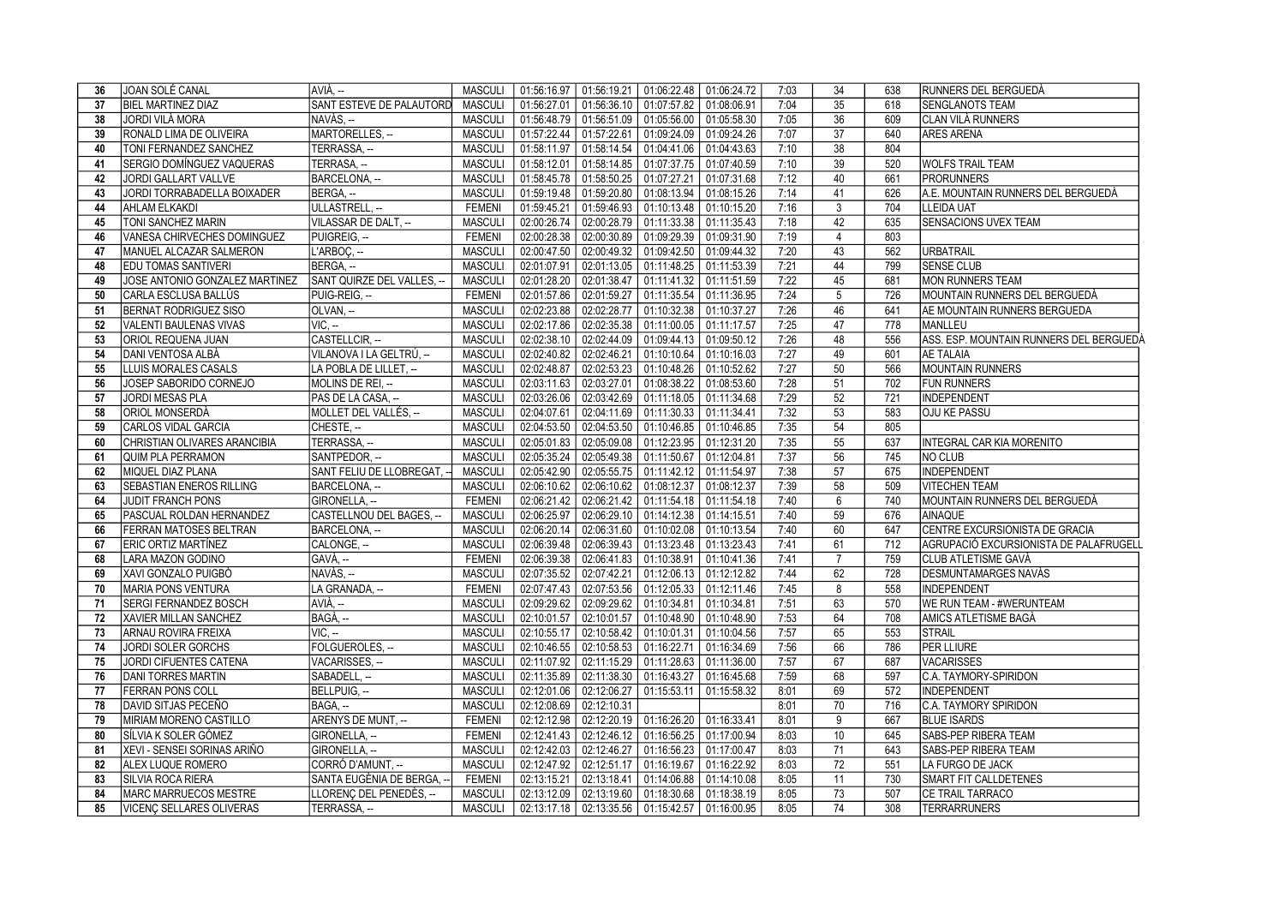| 36 | JOAN SOLÉ CANAL                 | AVIÀ. --                   | MASCULI        |                         |                           | 01:56:16.97   01:56:19.21   01:06:22.48   01:06:24.72 |             | 7:03 | 34              | 638              | RUNNERS DEL BERGUEDÀ                    |
|----|---------------------------------|----------------------------|----------------|-------------------------|---------------------------|-------------------------------------------------------|-------------|------|-----------------|------------------|-----------------------------------------|
| 37 | <b>BIEL MARTINEZ DIAZ</b>       | SANT ESTEVE DE PALAUTORD   | <b>MASCULI</b> |                         |                           | $01:56:27.01$   01:56:36.10   01:07:57.82             | 01:08:06.91 | 7:04 | 35              | 618              | <b>SENGLANOTS TEAM</b>                  |
| 38 | JORDI VILÀ MORA                 | NAVÀS. --                  | <b>MASCULI</b> |                         | 01:56:48.79   01:56:51.09 | 01:05:56.00                                           | 01:05:58.30 | 7:05 | $\overline{36}$ | 609              | CLAN VILÀ RUNNERS                       |
| 39 | RONALD LIMA DE OLIVEIRA         | MARTORELLES, --            | <b>MASCULI</b> |                         |                           | 01:57:22.44 01:57:22.61 01:09:24.09                   | 01:09:24.26 | 7:07 | 37              | 640              | <b>ARES ARENA</b>                       |
| 40 | <b>TONI FERNANDEZ SANCHEZ</b>   | TERRASSA. --               | <b>MASCULI</b> |                         |                           | 01:58:11.97 01:58:14.54 01:04:41.06                   | 01:04:43.63 | 7:10 | 38              | 804              |                                         |
| 41 | SERGIO DOMÍNGUEZ VAQUERAS       | TERRASA, --                | <b>MASCULI</b> |                         | 01:58:12.01   01:58:14.85 | 01:07:37.75                                           | 01:07:40.59 | 7:10 | 39              | $\overline{520}$ | <b>WOLFS TRAIL TEAM</b>                 |
| 42 | JORDI GALLART VALLVE            | BARCELONA. --              | <b>MASCULI</b> |                         |                           | 01:58:45.78 01:58:50.25 01:07:27.21                   | 01:07:31.68 | 7:12 | 40              | 661              | <b>PRORUNNERS</b>                       |
| 43 | JORDI TORRABADELLA BOIXADER     | BERGA. --                  | <b>MASCULI</b> |                         |                           | 01:59:19.48 01:59:20.80 01:08:13.94                   | 01:08:15.26 | 7:14 | 41              | 626              | A.E. MOUNTAIN RUNNERS DEL BERGUEDÀ      |
| 44 | <b>AHLAM ELKAKDI</b>            | ULLASTRELL, --             | <b>FEMENI</b>  |                         |                           | 01:59:45.21 01:59:46.93 01:10:13.48                   | 01:10:15.20 | 7:16 | 3               | 704              | <b>LLEIDA UAT</b>                       |
| 45 | <b>TONI SANCHEZ MARIN</b>       | VILASSAR DE DALT, --       | <b>MASCULI</b> |                         |                           | 02:00:26.74 02:00:28.79 01:11:33.38                   | 01:11:35.43 | 7:18 | 42              | 635              | SENSACIONS UVEX TEAM                    |
| 46 | VANESA CHIRVECHES DOMINGUEZ     | PUIGREIG. --               | <b>FEMENI</b>  |                         |                           | $02:00:28.38$   $02:00:30.89$   $01:09:29.39$         | 01:09:31.90 | 7:19 | $\overline{4}$  | 803              |                                         |
| 47 | MANUEL ALCAZAR SALMERON         | L'ARBOC, --                | <b>MASCULI</b> |                         |                           | 02:00:47.50 02:00:49.32 01:09:42.50                   | 01:09:44.32 | 7:20 | 43              | 562              | <b>URBATRAIL</b>                        |
| 48 | <b>EDU TOMAS SANTIVERI</b>      | BERGA, --                  | <b>MASCULI</b> |                         |                           | 02:01:07.91 02:01:13.05 01:11:48.25 01:11:53.39       |             | 7:21 | 44              | 799              | <b>SENSE CLUB</b>                       |
| 49 | JOSE ANTONIO GONZALEZ MARTINEZ  | SANT QUIRZE DEL VALLES, -- | <b>MASCULI</b> |                         |                           | 02:01:28.20 02:01:38.47 01:11:41.32                   | 01:11:51.59 | 7:22 | 45              | 681              | <b>MON RUNNERS TEAM</b>                 |
| 50 | CARLA ESCLUSA BALLÚS            | PUIG-REIG. --              | <b>FEMENI</b>  |                         | 02:01:57.86 02:01:59.27   | 01:11:35.54                                           | 01:11:36.95 | 7:24 | 5               | 726              | MOUNTAIN RUNNERS DEL BERGUEDÀ           |
| 51 | <b>BERNAT RODRIGUEZ SISO</b>    | OLVAN, --                  | <b>MASCULI</b> |                         |                           | 02:02:23.88 02:02:28.77 01:10:32.38 01:10:37.27       |             | 7:26 | 46              | 641              | AE MOUNTAIN RUNNERS BERGUEDA            |
| 52 | VALENTI BAULENAS VIVAS          | $VIC. -$                   | <b>MASCULI</b> |                         | 02:02:17.86   02:02:35.38 | 01:11:00.05                                           | 01:11:17.57 | 7:25 | 47              | 778              | <b>MANLLEU</b>                          |
| 53 | ORIOL REQUENA JUAN              | CASTELLCIR, --             | <b>MASCULI</b> |                         |                           | 02:02:38.10 02:02:44.09 01:09:44.13 01:09:50.12       |             | 7:26 | 48              | 556              | ASS. ESP. MOUNTAIN RUNNERS DEL BERGUEDÀ |
| 54 | IDANI VENTOSA ALBÀ              | VILANOVA I LA GELTRÚ, --   | <b>MASCULI</b> |                         |                           | 02:02:40.82 02:02:46.21 01:10:10.64                   | 01:10:16.03 | 7:27 | 49              | 601              | <b>AE TALAIA</b>                        |
| 55 | <b>LLUIS MORALES CASALS</b>     | LA POBLA DE LILLET, --     | <b>MASCULI</b> | 02:02:48.87             |                           | $02:02:53.23$ 01:10:48.26                             | 01:10:52.62 | 7:27 | 50              | 566              | <b>MOUNTAIN RUNNERS</b>                 |
| 56 | JOSEP SABORIDO CORNEJO          | MOLINS DE REI, --          | <b>MASCULI</b> |                         | 02:03:11.63 02:03:27.01   | 01:08:38.22                                           | 01:08:53.60 | 7:28 | 51              | 702              | <b>FUN RUNNERS</b>                      |
| 57 | <b>JORDI MESAS PLA</b>          | PAS DE LA CASA, --         | <b>MASCULI</b> |                         |                           | 02:03:26.06   02:03:42.69   01:11:18.05   01:11:34.68 |             | 7:29 | 52              | 721              | <b>INDEPENDENT</b>                      |
| 58 | <b>ORIOL MONSERDÀ</b>           | MOLLET DEL VALLÉS. --      | <b>MASCULI</b> |                         | 02:04:07.61 02:04:11.69   | 01:11:30.33                                           | 01:11:34.41 | 7:32 | 53              | 583              | <b>OJU KE PASSU</b>                     |
| 59 | <b>CARLOS VIDAL GARCIA</b>      | CHESTE, --                 | <b>MASCULI</b> |                         |                           | 02:04:53.50 02:04:53.50 01:10:46.85 01:10:46.85       |             | 7:35 | 54              | 805              |                                         |
| 60 | CHRISTIAN OLIVARES ARANCIBIA    | TERRASSA, --               | <b>MASCULI</b> |                         |                           | 02:05:01.83 02:05:09.08 01:12:23.95 01:12:31.20       |             | 7:35 | 55              | 637              | INTEGRAL CAR KIA MORENITO               |
| 61 | QUIM PLA PERRAMON               | SANTPEDOR, --              | <b>MASCULI</b> |                         |                           | 02:05:35.24 02:05:49.38 01:11:50.67                   | 01:12:04.81 | 7:37 | 56              | 745              | <b>NO CLUB</b>                          |
| 62 | MIQUEL DIAZ PLANA               | SANT FELIU DE LLOBREGAT, - | <b>MASCULI</b> |                         |                           | 02:05:42.90   02:05:55.75   01:11:42.12   01:11:54.97 |             | 7:38 | 57              | 675              | INDEPENDENT                             |
| 63 | <b>SEBASTIAN ENEROS RILLING</b> | BARCELONA, --              | <b>MASCULI</b> |                         |                           | 02:06:10.62   02:06:10.62   01:08:12.37               | 01:08:12.37 | 7:39 | 58              | 509              | <b>VITECHEN TEAM</b>                    |
| 64 | JUDIT FRANCH PONS               | GIRONELLA, --              | <b>FEMENI</b>  |                         |                           | 02:06:21.42 02:06:21.42 01:11:54.18 01:11:54.18       |             | 7:40 | 6               | 740              | MOUNTAIN RUNNERS DEL BERGUEDÀ           |
| 65 | PASCUAL ROLDAN HERNANDEZ        | CASTELLNOU DEL BAGES. --   | <b>MASCULI</b> |                         |                           | 02:06:25.97   02:06:29.10   01:14:12.38   01:14:15.51 |             | 7:40 | 59              | 676              | <b>AINAQUE</b>                          |
| 66 | <b>FERRAN MATOSES BELTRAN</b>   | BARCELONA, --              | <b>MASCULI</b> |                         |                           | 02:06:20.14 02:06:31.60 01:10:02.08 01:10:13.54       |             | 7:40 | 60              | 647              | CENTRE EXCURSIONISTA DE GRACIA          |
| 67 | <b>ERIC ORTIZ MARTÍNEZ</b>      | CALONGE, --                | <b>MASCULI</b> |                         |                           | 02:06:39.48 02:06:39.43 01:13:23.48 01:13:23.43       |             | 7:41 | 61              | 712              | AGRUPACIÓ EXCURSIONISTA DE PALAFRUGELL  |
| 68 | LARA MAZON GODINO               | $GAVA, -$                  | <b>FEMENI</b>  |                         |                           | 02:06:39.38 02:06:41.83 01:10:38.91                   | 01:10:41.36 | 7:41 | $\overline{7}$  | 759              | CLUB ATLETISME GAVÀ                     |
| 69 | XAVI GONZALO PUIGBÒ             | NAVÀS, --                  | <b>MASCULI</b> |                         |                           | 02:07:35.52 02:07:42.21 01:12:06.13 01:12:12.82       |             | 7:44 | 62              | 728              | DESMUNTAMARGES NAVÀS                    |
| 70 | <b>MARIA PONS VENTURA</b>       | LA GRANADA, --             | <b>FEMENI</b>  |                         |                           | 02:07:47.43 02:07:53.56 01:12:05.33                   | 01:12:11.46 | 7:45 | 8               | 558              | <b>INDEPENDENT</b>                      |
| 71 | <b>SERGI FERNANDEZ BOSCH</b>    | AVIÀ, --                   | <b>MASCULI</b> |                         |                           | 02:09:29.62 02:09:29.62 01:10:34.81                   | 01:10:34.81 | 7:51 | 63              | 570              | WE RUN TEAM - #WERUNTEAM                |
| 72 | XAVIER MILLAN SANCHEZ           | BAGÀ, --                   | <b>MASCULI</b> |                         |                           | 02:10:01.57 02:10:01.57 01:10:48.90                   | 01:10:48.90 | 7:53 | 64              | 708              | AMICS ATLETISME BAGÀ                    |
| 73 | <b>ARNAU ROVIRA FREIXA</b>      | $VIC, -$                   | <b>MASCULI</b> |                         |                           | 02:10:55.17 02:10:58.42 01:10:01.31 01:10:04.56       |             | 7:57 | 65              | 553              | STRAIL                                  |
| 74 | JORDI SOLER GORCHS              | FOLGUEROLES, --            | <b>MASCULI</b> |                         |                           | 02:10:46.55 02:10:58.53 01:16:22.71                   | 01:16:34.69 | 7:56 | 66              | 786              | <b>PER LLIURE</b>                       |
| 75 | JORDI CIFUENTES CATENA          | VACARISSES, --             | <b>MASCULI</b> |                         |                           | 02:11:07.92 02:11:15.29 01:11:28.63                   | 01:11:36.00 | 7:57 | 67              | 687              | <b>VACARISSES</b>                       |
| 76 | <b>DANI TORRES MARTIN</b>       | SABADELL, --               | <b>MASCULI</b> |                         |                           | 02:11:35.89 02:11:38.30 01:16:43.27                   | 01:16:45.68 | 7:59 | 68              | 597              | C.A. TAYMORY-SPIRIDON                   |
| 77 | <b>FERRAN PONS COLL</b>         | BELLPUIG, --               | <b>MASCULI</b> |                         |                           | 02:12:01.06 02:12:06.27 01:15:53.11                   | 01:15:58.32 | 8:01 | 69              | 572              | <b>INDEPENDENT</b>                      |
| 78 | DAVID SITJAS PECEÑO             | BAGA, --                   | <b>MASCULI</b> | 02:12:08.69 02:12:10.31 |                           |                                                       |             | 8:01 | 70              | 716              | C.A. TAYMORY SPIRIDON                   |
| 79 | MIRIAM MORENO CASTILLO          | ARENYS DE MUNT, --         | <b>FEMENI</b>  |                         |                           | 02:12:12.98 02:12:20.19 01:16:26.20 01:16:33.41       |             | 8:01 | 9               | 667              | <b>BLUE ISARDS</b>                      |
| 80 | SÍLVIA K SOLER GÓMEZ            | GIRONELLA, --              | <b>FEMENI</b>  |                         |                           | 02:12:41.43 02:12:46.12 01:16:56.25                   | 01:17:00.94 | 8:03 | 10              | 645              | SABS-PEP RIBERA TEAM                    |
| 81 | XEVI - SENSEI SORINAS ARIÑO     | GIRONELLA, --              | <b>MASCULI</b> |                         |                           | 02:12:42.03 02:12:46.27 01:16:56.23                   | 01:17:00.47 | 8:03 | 71              | 643              | SABS-PEP RIBERA TEAM                    |
| 82 | ALEX LUQUE ROMERO               | CORRÓ D'AMUNT, --          | <b>MASCULI</b> |                         | 02:12:47.92 02:12:51.17   | 01:16:19.67                                           | 01:16:22.92 | 8:03 | 72              | 551              | LA FURGO DE JACK                        |
| 83 | SILVIA ROCA RIERA               | SANTA EUGÈNIA DE BERGA, -  | <b>FEMENI</b>  |                         | 02:13:15.21 02:13:18.41   | 01:14:06.88                                           | 01:14:10.08 | 8:05 | 11              | 730              | SMART FIT CALLDETENES                   |
| 84 | <b>MARC MARRUECOS MESTRE</b>    | LLORENC DEL PENEDÈS, --    | <b>MASCULI</b> |                         |                           | 02:13:12.09 02:13:19.60 01:18:30.68                   | 01:18:38.19 | 8:05 | 73              | 507              | CE TRAIL TARRACO                        |
| 85 | VICENÇ SELLARES OLIVERAS        | TERRASSA, --               | <b>MASCULI</b> |                         |                           | 02:13:17.18 02:13:35.56 01:15:42.57 01:16:00.95       |             | 8:05 | 74              | 308              | <b>TERRARRUNERS</b>                     |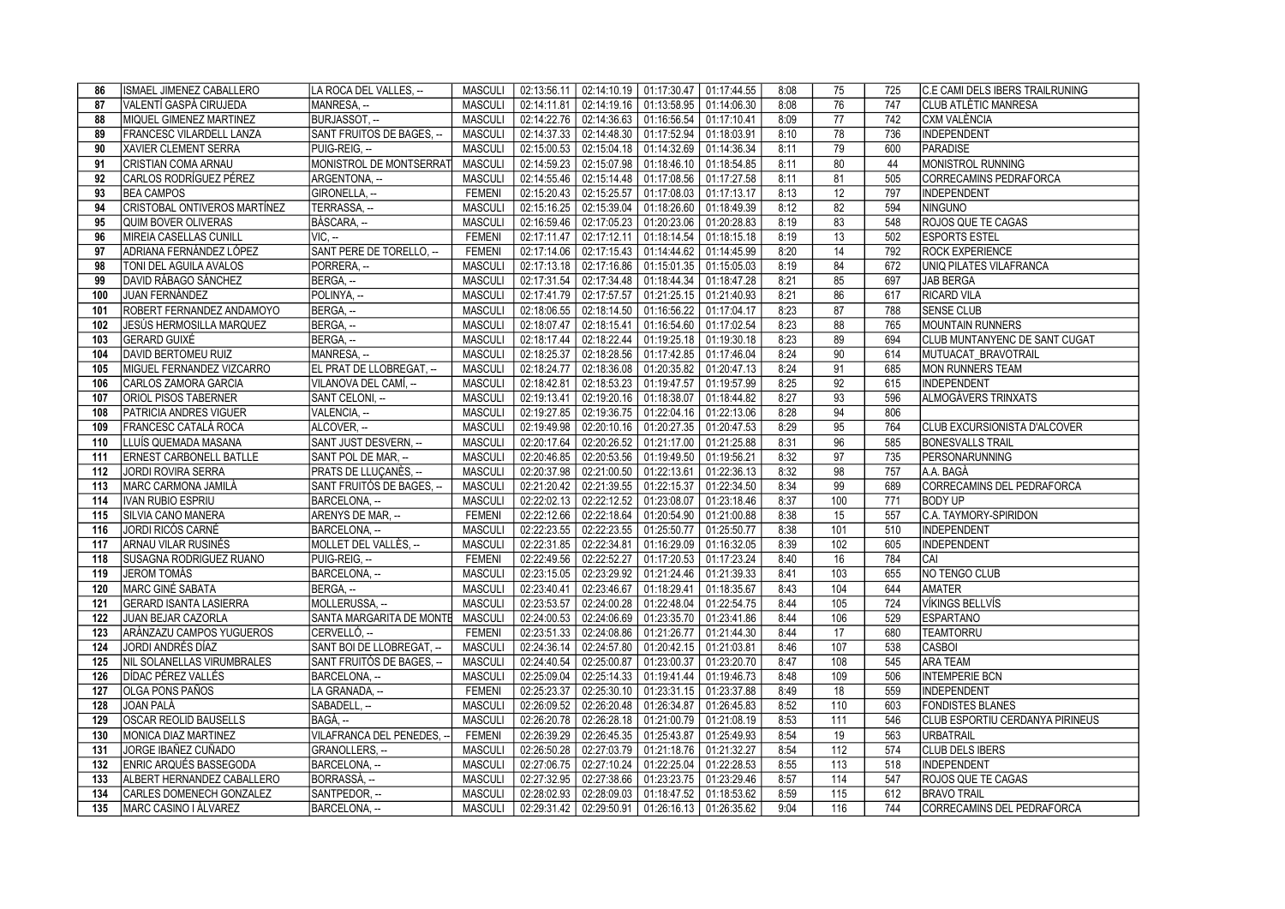| 86  | <b>ISMAEL JIMENEZ CABALLERO</b>   | LA ROCA DEL VALLES, --     |                | MASCULI   02:13:56.11   02:14:10.19   01:17:30.47   01:17:44.55 |                                                             |                                         |             | 8:08 | 75              | 725 | <b>C.E CAMI DELS IBERS TRAILRUNING</b> |
|-----|-----------------------------------|----------------------------|----------------|-----------------------------------------------------------------|-------------------------------------------------------------|-----------------------------------------|-------------|------|-----------------|-----|----------------------------------------|
| 87  | VALENTÍ GASPÀ CIRUJEDA            | MANRESA, --                | MASCULI        | 02:14:11.81                                                     | $02:14:19.16$   01:13:58.95   01:14:06.30                   |                                         |             | 8:08 | 76              | 747 | <b>CLUB ATLÈTIC MANRESA</b>            |
| 88  | <b>IMIQUEL GIMENEZ MARTINEZ</b>   | BURJASSOT. --              | MASCULI        | 02:14:22.76                                                     | 02:14:36.63 01:16:56.54                                     |                                         | 01:17:10.41 | 8:09 | $\overline{77}$ | 742 | <b>CXM VALÈNCIA</b>                    |
| 89  | FRANCESC VILARDELL LANZA          | SANT FRUITOS DE BAGES, --  | MASCULI        |                                                                 | 02:14:37.33 02:14:48.30 01:17:52.94 01:18:03.91             |                                         |             | 8:10 | 78              | 736 | INDEPENDENT                            |
| 90  | <b>XAVIER CLEMENT SERRA</b>       | PUIG-REIG, --              | <b>MASCULI</b> |                                                                 | 02:15:00.53 02:15:04.18 01:14:32.69 01:14:36.34             |                                         |             | 8:11 | 79              | 600 | PARADISE                               |
| 91  | CRISTIAN COMA ARNAU               | MONISTROL DE MONTSERRAT    | <b>MASCULI</b> | 02:14:59.23                                                     | $\vert$ 02:15:07.98 $\vert$ 01:18:46.10 $\vert$ 01:18:54.85 |                                         |             | 8:11 | 80              | 44  | MONISTROL RUNNING                      |
| 92  | CARLOS RODRÍGUEZ PÉREZ            | ARGENTONA. --              | <b>MASCULI</b> | 02:14:55.46                                                     | 02:15:14.48                                                 | 01:17:08.56 01:17:27.58                 |             | 8:11 | 81              | 505 | CORRECAMINS PEDRAFORCA                 |
| 93  | <b>BEA CAMPOS</b>                 | GIRONELLA, --              | <b>FEMENI</b>  |                                                                 | 02:15:20.43 02:15:25.57 01:17:08.03 01:17:13.17             |                                         |             | 8:13 | 12              | 797 | INDEPENDENT                            |
| 94  | CRISTOBAL ONTIVEROS MARTÍNEZ      | TERRASSA, --               | <b>MASCULI</b> | 02:15:16.25                                                     | 02:15:39.04                                                 | 01:18:26.60 01:18:49.39                 |             | 8:12 | 82              | 594 | NINGUNO                                |
| 95  | <b>QUIM BOVER OLIVERAS</b>        | BÀSCARA, --                | <b>MASCULI</b> |                                                                 | 02:16:59.46 02:17:05.23 01:20:23.06 01:20:28.83             |                                         |             | 8:19 | 83              | 548 | <b>ROJOS QUE TE CAGAS</b>              |
| 96  | MIREIA CASELLAS CUNILL            | $VIC. -$                   | <b>FEMENI</b>  |                                                                 | 02:17:11.47 02:17:12.11 01:18:14.54 01:18:15.18             |                                         |             | 8:19 | 13              | 502 | <b>ESPORTS ESTEL</b>                   |
| 97  | ADRIANA FERNÁNDEZ LÓPEZ           | SANT PERE DE TORELLO, --   | <b>FEMENI</b>  |                                                                 | 02:17:14.06 02:17:15.43 01:14:44.62 01:14:45.99             |                                         |             | 8:20 | 14              | 792 | <b>ROCK EXPERIENCE</b>                 |
| 98  | <b>TONI DEL AGUILA AVALOS</b>     | PORRERA. --                | MASCULI        |                                                                 | 02:17:13.18 02:17:16.86 01:15:01.35 01:15:05.03             |                                         |             | 8:19 | 84              | 672 | UNIQ PILATES VILAFRANCA                |
| 99  | DAVID RÁBAGO SÁNCHEZ              | BERGA, --                  | <b>MASCULI</b> |                                                                 | 02:17:31.54 02:17:34.48 01:18:44.34 01:18:47.28             |                                         |             | 8:21 | 85              | 697 | <b>JAB BERGA</b>                       |
| 100 | JUAN FERNÁNDEZ                    | POLINYA, --                | <b>MASCULI</b> |                                                                 | 02:17:41.79 02:17:57.57 01:21:25.15 01:21:40.93             |                                         |             | 8:21 | 86              | 617 | <b>RICARD VILA</b>                     |
| 101 | ROBERT FERNANDEZ ANDAMOYO         | BERGA. --                  | <b>MASCULI</b> | 02:18:06.55                                                     | 02:18:14.50 01:16:56.22                                     |                                         | 01:17:04.17 | 8:23 | 87              | 788 | <b>SENSE CLUB</b>                      |
| 102 | JESÚS HERMOSILLA MARQUEZ          | BERGA, -                   | <b>MASCULI</b> | 02:18:07.47                                                     | 02:18:15.41                                                 | 01:16:54.60   01:17:02.54               |             | 8:23 | 88              | 765 | MOUNTAIN RUNNERS                       |
| 103 | GERARD GUIXÉ                      | BERGA, --                  | <b>MASCULI</b> |                                                                 | 02:18:17.44   02:18:22.44   01:19:25.18   01:19:30.18       |                                         |             | 8:23 | 89              | 694 | <b>CLUB MUNTANYENC DE SANT CUGAT</b>   |
| 104 | DAVID BERTOMEU RUIZ               | MANRESA, --                | MASCULI        | 02:18:25.37                                                     |                                                             | 02:18:28.56  01:17:42.85  01:17:46.04   |             | 8:24 | 90              | 614 | MUTUACAT BRAVOTRAIL                    |
| 105 | MIGUEL FERNANDEZ VIZCARRO         | EL PRAT DE LLOBREGAT, --   | <b>MASCULI</b> | 02:18:24.77                                                     | $02:18:36.08$ 01:20:35.82                                   |                                         | 01:20:47.13 | 8:24 | 91              | 685 | MON RUNNERS TEAM                       |
| 106 | CARLOS ZAMORA GARCIA              | VILANOVA DEL CAMÍ, --      | MASCULI        | 02:18:42.81                                                     | 02:18:53.23 01:19:47.57                                     |                                         | 01:19:57.99 | 8:25 | 92              | 615 | INDEPENDENT                            |
| 107 | <b>ORIOL PISOS TABERNER</b>       | SANT CELONI, --            | <b>MASCULI</b> | 02:19:13.41                                                     | 02:19:20.16 01:18:38.07                                     |                                         | 01:18:44.82 | 8:27 | 93              | 596 | ALMOGÀVERS TRINXATS                    |
| 108 | <b>PATRICIA ANDRES VIGUER</b>     | VALENCIA. --               | <b>MASCULI</b> | 02:19:27.85                                                     | 02:19:36.75 01:22:04.16                                     |                                         | 01:22:13.06 | 8:28 | 94              | 806 |                                        |
| 109 | FRANCESC CATALÀ ROCA              | ALCOVER. --                | <b>MASCULI</b> |                                                                 | 02:19:49.98 02:20:10.16 01:20:27.35 01:20:47.53             |                                         |             | 8:29 | 95              | 764 | <b>CLUB EXCURSIONISTA D'ALCOVER</b>    |
| 110 | LLUÍS QUEMADA MASANA              | SANT JUST DESVERN, --      | <b>MASCULI</b> | 02:20:17.64                                                     |                                                             | 02:20:26.52   01:21:17.00   01:21:25.88 |             | 8:31 | 96              | 585 | <b>BONESVALLS TRAIL</b>                |
| 111 | <b>ERNEST CARBONELL BATLLE</b>    | SANT POL DE MAR, --        | <b>MASCULI</b> | 02:20:46.85                                                     | 02:20:53.56 01:19:49.50 01:19:56.21                         |                                         |             | 8:32 | 97              | 735 | PERSONARUNNING                         |
| 112 | JORDI ROVIRA SERRA                | PRATS DE LLUCANÈS. --      | <b>MASCULI</b> |                                                                 | 02:20:37.98 02:21:00.50 01:22:13.61                         |                                         | 01:22:36.13 | 8:32 | 98              | 757 | A.A. BAGÀ                              |
| 113 | MARC CARMONA JAMILÀ               | SANT FRUITÓS DE BAGES. --  | <b>MASCULI</b> |                                                                 | 02:21:20.42 02:21:39.55 01:22:15.37                         |                                         | 01:22:34.50 | 8:34 | 99              | 689 | CORRECAMINS DEL PEDRAFORCA             |
| 114 | IVAN RUBIO ESPRIU                 | BARCELONA, --              | <b>MASCULI</b> |                                                                 | 02:22:02.13 02:22:12.52 01:23:08.07                         |                                         | 01:23:18.46 | 8:37 | 100             | 771 | <b>BODY UP</b>                         |
| 115 | SILVIA CANO MANERA                | ARENYS DE MAR, --          | <b>FEMENI</b>  |                                                                 | 02:22:12.66 02:22:18.64 01:20:54.90 01:21:00.88             |                                         |             | 8:38 | 15              | 557 | IC.A. TAYMORY-SPIRIDON                 |
| 116 | JORDI RICÓS CARNÉ                 | BARCELONA, --              | <b>MASCULI</b> |                                                                 | 02:22:23.55 02:22:23.55 01:25:50.77                         |                                         | 01:25:50.77 | 8:38 | 101             | 510 | INDEPENDENT                            |
| 117 | ARNAU VILAR RUSINÉS               | MOLLET DEL VALLÈS, -       | <b>MASCULI</b> |                                                                 | 02:22:31.85 02:22:34.81 01:16:29.09 01:16:32.05             |                                         |             | 8:39 | 102             | 605 | INDEPENDENT                            |
| 118 | <b>ISUSAGNA RODRIGUEZ RUANO</b>   | PUIG-REIG. --              | <b>FEMENI</b>  | 02:22:49.56                                                     | 02:22:52.27                                                 | 01:17:20.53 01:17:23.24                 |             | 8:40 | 16              | 784 | ICAI                                   |
| 119 | <b>JEROM TOMÁS</b>                | BARCELONA, --              | <b>MASCULI</b> |                                                                 | 02:23:15.05 02:23:29.92 01:21:24.46 01:21:39.33             |                                         |             | 8:41 | 103             | 655 | NO TENGO CLUB                          |
| 120 | MARC GINÉ SABATA                  | BERGA, --                  | <b>MASCULI</b> | 02:23:40.41 02:23:46.67                                         |                                                             | 01:18:29.41                             | 01:18:35.67 | 8:43 | 104             | 644 | <b>AMATER</b>                          |
| 121 | <b>GERARD ISANTA LASIERRA</b>     | MOLLERUSSA, --             | <b>MASCULI</b> |                                                                 | 02:23:53.57 02:24:00.28 01:22:48.04 01:22:54.75             |                                         |             | 8:44 | 105             | 724 | VÍKINGS BELLVÍS                        |
| 122 | JUAN BEJAR CAZORLA                | SANTA MARGARITA DE MONTE   | <b>MASCULI</b> |                                                                 | 02:24:00.53 02:24:06.69 01:23:35.70 01:23:41.86             |                                         |             | 8:44 | 106             | 529 | <b>ESPARTANO</b>                       |
| 123 | ARÁNZAZU CAMPOS YUGUEROS          | CERVELLÓ, --               | <b>FEMENI</b>  |                                                                 | 02:23:51.33 02:24:08.86 01:21:26.77 01:21:44.30             |                                         |             | 8:44 | 17              | 680 | <b>TEAMTORRU</b>                       |
| 124 | JORDI ANDRÉS DÍAZ                 | SANT BOI DE LLOBREGAT, -   | <b>MASCULI</b> | 02:24:36.14                                                     | 02:24:57.80 01:20:42.15 01:21:03.81                         |                                         |             | 8:46 | 107             | 538 | CASBOI                                 |
| 125 | <b>NIL SOLANELLAS VIRUMBRALES</b> | SANT FRUITÓS DE BAGES. --  | <b>MASCULI</b> |                                                                 | 02:24:40.54   02:25:00.87   01:23:00.37   01:23:20.70       |                                         |             | 8:47 | 108             | 545 | <b>ARA TEAM</b>                        |
| 126 | DÍDAC PÉREZ VALLÉS                | BARCELONA, --              | <b>MASCULI</b> | 02:25:09.04                                                     | 02:25:14.33 01:19:41.44 01:19:46.73                         |                                         |             | 8:48 | 109             | 506 | <b>INTEMPERIE BCN</b>                  |
| 127 | <b>OLGA PONS PAÑOS</b>            | LA GRANADA, --             | <b>FEMENI</b>  | 02:25:23.37                                                     | 02:25:30.10 01:23:31.15 01:23:37.88                         |                                         |             | 8:49 | 18              | 559 | INDEPENDENT                            |
| 128 | IJOAN PALÀ                        | SABADELL, --               | <b>MASCULI</b> | 02:26:09.52                                                     | 02:26:20.48   01:26:34.87                                   |                                         | 01:26:45.83 | 8:52 | 110             | 603 | <b>FONDISTES BLANES</b>                |
| 129 | <b>OSCAR REOLID BAUSELLS</b>      | lBAGÀ. --                  | <b>MASCULI</b> |                                                                 | 02:26:20.78 02:26:28.18 01:21:00.79 01:21:08.19             |                                         |             | 8:53 | 111             | 546 | <b>CLUB ESPORTIU CERDANYA PIRINEUS</b> |
| 130 | MONICA DIAZ MARTINEZ              | VILAFRANCA DEL PENEDES, -- | <b>FEMENI</b>  | 02:26:39.29                                                     | 02:26:45.35 01:25:43.87                                     |                                         | 01:25:49.93 | 8:54 | 19              | 563 | URBATRAIL                              |
| 131 | JORGE IBAÑEZ CUÑADO               | GRANOLLERS, --             | <b>MASCULI</b> |                                                                 | 02:26:50.28 02:27:03.79 01:21:18.76 01:21:32.27             |                                         |             | 8:54 | 112             | 574 | <b>CLUB DELS IBERS</b>                 |
| 132 | <b>ENRIC ARQUÉS BASSEGODA</b>     | BARCELONA, --              | <b>MASCULI</b> | 02:27:06.75                                                     | 02:27:10.24                                                 | 01:22:25.04                             | 01:22:28.53 | 8:55 | 113             | 518 | INDEPENDENT                            |
| 133 | ALBERT HERNANDEZ CABALLERO        | BORRASSÀ, --               | <b>MASCULI</b> |                                                                 | 02:27:32.95 02:27:38.66 01:23:23.75 01:23:29.46             |                                         |             | 8:57 | 114             | 547 | ROJOS QUE TE CAGAS                     |
| 134 | <b>CARLES DOMENECH GONZALEZ</b>   | SANTPEDOR, --              | MASCULI        |                                                                 | 02:28:02.93 02:28:09.03 01:18:47.52                         |                                         | 01:18:53.62 | 8:59 | 115             | 612 | <b>BRAVO TRAIL</b>                     |
| 135 | <b>MARC CASINO I ALVAREZ</b>      | BARCELONA, --              | MASCULI        |                                                                 | 02:29:31.42   02:29:50.91   01:26:16.13   01:26:35.62       |                                         |             | 9:04 | 116             | 744 | CORRECAMINS DEL PEDRAFORCA             |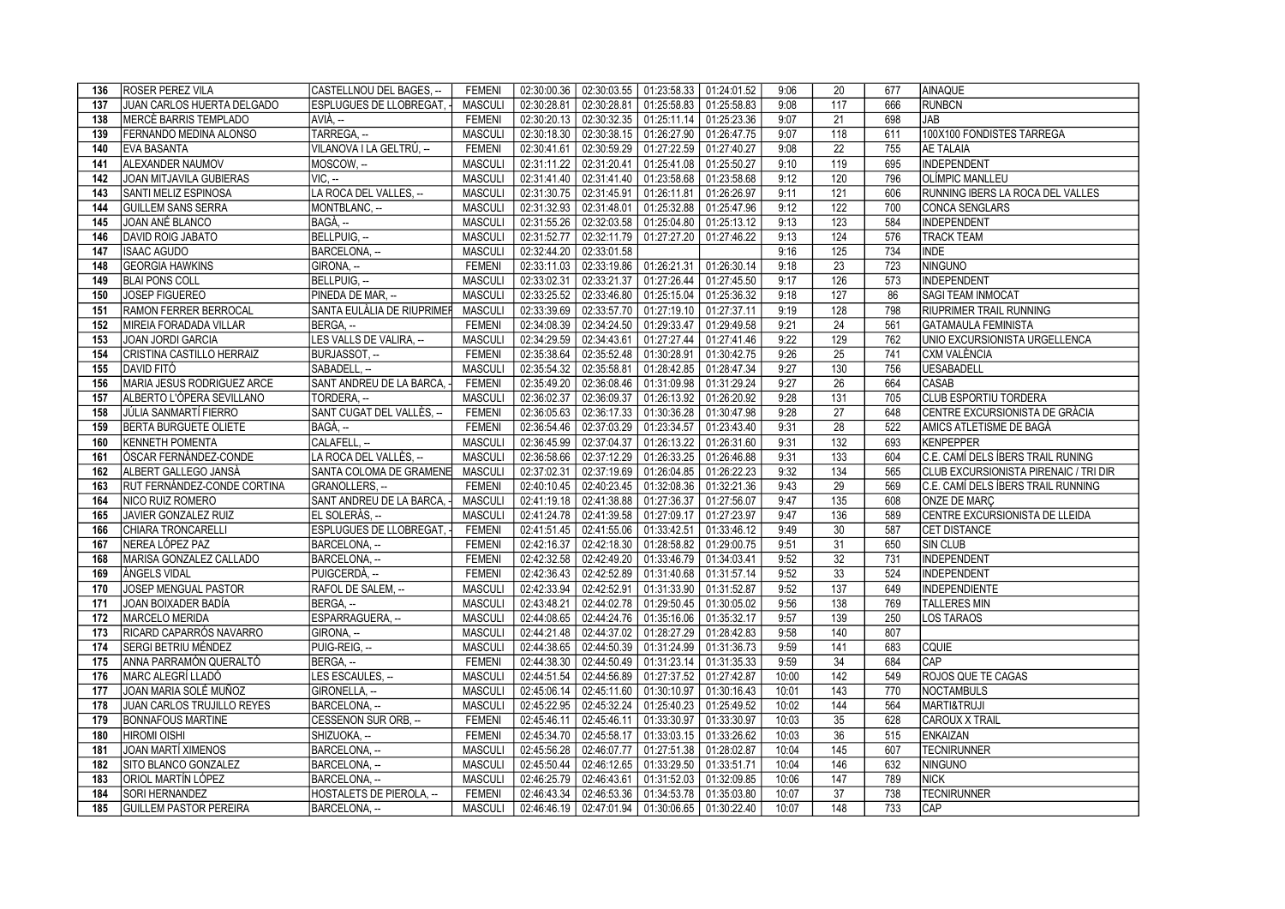| 136 | <b>ROSER PEREZ VILA</b>                         | CASTELLNOU DEL BAGES. --                  | <b>FEMENI</b>            |             |             | 02:30:00.36   02:30:03.55   01:23:58.33   01:24:01.52                                  |             | 9:06           | 20               | 677        | AINAQUE                               |
|-----|-------------------------------------------------|-------------------------------------------|--------------------------|-------------|-------------|----------------------------------------------------------------------------------------|-------------|----------------|------------------|------------|---------------------------------------|
| 137 | JUAN CARLOS HUERTA DELGADO                      | ESPLUGUES DE LLOBREGAT,                   | <b>MASCULI</b>           | 02:30:28.81 |             | 02:30:28.81   01:25:58.83   01:25:58.83                                                |             | 9:08           | 117              | 666        | <b>RUNBCN</b>                         |
| 138 | MERCÈ BARRIS TEMPLADO                           | AVIÀ. --                                  | <b>FEMENI</b>            | 02:30:20.13 | 02:30:32.35 | $\vert$ 01:25:11.14 $\vert$ 01:25:23.36                                                |             | 9:07           | $\overline{21}$  | 698        | <b>JAB</b>                            |
| 139 | FERNANDO MEDINA ALONSO                          | TARREGA, --                               | <b>MASCULI</b>           | 02:30:18.30 |             | $\vert$ 02:30:38.15 $\vert$ 01:26:27.90 $\vert$ 01:26:47.75                            |             | 9:07           | 118              | 611        | 100X100 FONDISTES TARREGA             |
| 140 | <b>EVA BASANTA</b>                              | VILANOVA I LA GELTRÚ. --                  | <b>FEMENI</b>            | 02:30:41.61 |             | 02:30:59.29 01:27:22.59 01:27:40.27                                                    |             | 9:08           | 22               | 755        | <b>AE TALAIA</b>                      |
| 141 | ALEXANDER NAUMOV                                | MOSCOW, --                                | <b>MASCULI</b>           | 02:31:11.22 |             | 02:31:20.41   01:25:41.08   01:25:50.27                                                |             | 9:10           | 119              | 695        | <b>INDEPENDENT</b>                    |
| 142 | <b>JOAN MITJAVILA GUBIERAS</b>                  | $VIC. -$                                  | <b>MASCULI</b>           | 02:31:41.40 |             | 02:31:41.40 01:23:58.68                                                                | 01:23:58.68 | 9:12           | 120              | 796        | <b>OLÍMPIC MANLLEU</b>                |
| 143 | SANTI MELIZ ESPINOSA                            | LA ROCA DEL VALLES. --                    | <b>MASCULI</b>           | 02:31:30.75 |             | 02:31:45.91 01:26:11.81                                                                | 01:26:26.97 | 9:11           | 121              | 606        | RUNNING IBERS LA ROCA DEL VALLES      |
| 144 | <b>GUILLEM SANS SERRA</b>                       | MONTBLANC, --                             | <b>MASCULI</b>           | 02:31:32.93 |             | 02:31:48.01   01:25:32.88                                                              | 01:25:47.96 | 9:12           | 122              | 700        | CONCA SENGLARS                        |
| 145 | JOAN ANÉ BLANCO                                 | BAGÀ, --                                  | <b>MASCULI</b>           | 02:31:55.26 |             | 02:32:03.58 01:25:04.80                                                                | 01:25:13.12 | 9:13           | 123              | 584        | <b>INDEPENDENT</b>                    |
| 146 | <b>DAVID ROIG JABATO</b>                        | BELLPUIG. --                              | <b>MASCULI</b>           | 02:31:52.77 |             | 02:32:11.79 01:27:27.20                                                                | 01:27:46.22 | 9:13           | 124              | 576        | <b>TRACK TEAM</b>                     |
| 147 | <b>ISAAC AGUDO</b>                              | BARCELONA, --                             | <b>MASCULI</b>           | 02:32:44.20 | 02:33:01.58 |                                                                                        |             | 9:16           | 125              | 734        | <b>INDE</b>                           |
| 148 | <b>GEORGIA HAWKINS</b>                          | GIRONA, --                                | <b>FEMENI</b>            | 02:33:11.03 |             | 02:33:19.86 01:26:21.31 01:26:30.14                                                    |             | 9:18           | $\overline{23}$  | 723        | NINGUNO                               |
| 149 | <b>BLAI PONS COLL</b>                           | BELLPUIG, --                              | <b>MASCULI</b>           | 02:33:02.31 |             | 02:33:21.37   01:27:26.44   01:27:45.50                                                |             | 9:17           | 126              | 573        | INDEPENDENT                           |
| 150 | <b>JOSEP FIGUEREO</b>                           | PINEDA DE MAR, --                         | <b>MASCULI</b>           | 02:33:25.52 |             | 02:33:46.80   01:25:15.04   01:25:36.32                                                |             | 9:18           | 127              | 86         | <b>SAGI TEAM INMOCAT</b>              |
| 151 | <b>RAMON FERRER BERROCAL</b>                    | SANTA EULÀLIA DE RIUPRIMER                | <b>MASCULI</b>           | 02:33:39.69 |             | 02:33:57.70 01:27:19.10 01:27:37.11                                                    |             | 9:19           | 128              | 798        | <b>RIUPRIMER TRAIL RUNNING</b>        |
| 152 | MIREIA FORADADA VILLAR                          | BERGA, --                                 | <b>FEMENI</b>            | 02:34:08.39 |             | 02:34:24.50 01:29:33.47 01:29:49.58                                                    |             | 9:21           | $\overline{24}$  | 561        | <b>GATAMAULA FEMINISTA</b>            |
| 153 | <b>JOAN JORDI GARCIA</b>                        | LES VALLS DE VALIRA, --                   | <b>MASCULI</b>           | 02:34:29.59 |             | 02:34:43.61  01:27:27.44  01:27:41.46                                                  |             | 9:22           | 129              | 762        | UNIO EXCURSIONISTA URGELLENCA         |
| 154 | CRISTINA CASTILLO HERRAIZ                       | BURJASSOT, --                             | <b>FEMENI</b>            | 02:35:38.64 |             | 02:35:52.48 01:30:28.91 01:30:42.75                                                    |             | 9:26           | 25               | 741        | CXM VALÈNCIA                          |
| 155 | <b>DAVID FITÓ</b>                               | SABADELL, --                              | <b>MASCULI</b>           | 02:35:54.32 |             | 02:35:58.81 01:28:42.85 01:28:47.34                                                    |             | 9:27           | 130              | 756        | <b>UESABADELL</b>                     |
| 156 | MARIA JESUS RODRIGUEZ ARCE                      | SANT ANDREU DE LA BARCA, -                | <b>FEMENI</b>            | 02:35:49.20 |             | 02:36:08.46   01:31:09.98   01:31:29.24                                                |             | 9:27           | $\overline{26}$  | 664        | CASAB                                 |
| 157 | ALBERTO L'ÒPERA SEVILLANO                       | TORDERA, --                               | <b>MASCULI</b>           | 02:36:02.37 |             | 02:36:09.37 01:26:13.92 01:26:20.92                                                    |             | 9:28           | $\overline{131}$ | 705        | <b>CLUB ESPORTIU TORDERA</b>          |
| 158 | JÚLIA SANMARTÍ FIERRO                           | SANT CUGAT DEL VALLÈS. --                 | <b>FEMENI</b>            | 02:36:05.63 |             | 02:36:17.33 01:30:36.28 01:30:47.98                                                    |             | 9:28           | 27               | 648        | CENTRE EXCURSIONISTA DE GRÀCIA        |
| 159 | BERTA BURGUETE OLIETE                           | BAGÀ. --                                  | <b>FEMENI</b>            | 02:36:54.46 |             | 02:37:03.29 01:23:34.57                                                                | 01:23:43.40 | 9:31           | 28               | 522        | AMICS ATLETISME DE BAGÀ               |
| 160 | <b>KENNETH POMENTA</b>                          | CALAFELL, --                              | <b>MASCULI</b>           | 02:36:45.99 |             | 02:37:04.37   01:26:13.22   01:26:31.60                                                |             | 9:31           | 132              | 693        | KENPEPPER                             |
| 161 | <b>OSCAR FERNANDEZ-CONDE</b>                    | LA ROCA DEL VALLÈS, --                    | <b>MASCULI</b>           | 02:36:58.66 |             | 02:37:12.29 01:26:33.25 01:26:46.88                                                    |             | 9:31           | 133              | 604        | C.E. CAMÍ DELS ÍBERS TRAIL RUNING     |
|     |                                                 |                                           |                          |             |             |                                                                                        |             |                |                  |            |                                       |
| 162 | ALBERT GALLEGO JANSÀ                            | SANTA COLOMA DE GRAMENE                   | <b>MASCULI</b>           | 02:37:02.31 |             | 02:37:19.69 01:26:04.85 01:26:22.23                                                    |             | 9:32           | 134              | 565        | CLUB EXCURSIONISTA PIRENAIC / TRI DIR |
| 163 | RUT FERNÁNDEZ-CONDE CORTINA                     | GRANOLLERS, --                            | <b>FEMENI</b>            | 02:40:10.45 |             | 02:40:23.45 01:32:08.36                                                                | 01:32:21.36 | 9:43           | 29               | 569        | C.E. CAMÍ DELS ÍBERS TRAIL RUNNING    |
| 164 | <b>NICO RUIZ ROMERO</b>                         | SANT ANDREU DE LA BARCA,                  | <b>MASCULI</b>           | 02:41:19.18 |             | 02:41:38.88 01:27:36.37 01:27:56.07                                                    |             | 9:47           | 135              | 608        | <b>ONZE DE MARC</b>                   |
| 165 | JAVIER GONZALEZ RUIZ                            | EL SOLERÀS. --                            | <b>MASCULI</b>           | 02:41:24.78 |             | 02:41:39.58   01:27:09.17                                                              | 01:27:23.97 | 9:47           | 136              | 589        | CENTRE EXCURSIONISTA DE LLEIDA        |
| 166 | CHIARA TRONCARELLI                              | <b>ESPLUGUES DE LLOBREGAT.</b>            | <b>FEMENI</b>            | 02:41:51.45 | 02:41:55.06 | $\vert$ 01:33:42.51 $\vert$ 01:33:46.12                                                |             | 9:49           | 30               | 587        | CET DISTANCE                          |
| 167 | NEREA LÓPEZ PAZ                                 | BARCELONA, --                             | <b>FEMENI</b>            | 02:42:16.37 |             | 02:42:18.30   01:28:58.82                                                              | 01:29:00.75 | 9:51           | 31               | 650        | <b>SIN CLUB</b>                       |
| 168 | MARISA GONZALEZ CALLADO                         | BARCELONA, --                             | <b>FEMENI</b>            | 02:42:32.58 |             | 02:42:49.20 01:33:46.79 01:34:03.41                                                    |             | 9:52           | 32               | 731        | <b>INDEPENDENT</b>                    |
| 169 | ÀNGELS VIDAL                                    | PUIGCERDÀ, --                             | <b>FEMENI</b>            | 02:42:36.43 |             | 02:42:52.89 01:31:40.68 01:31:57.14                                                    |             | 9:52           | 33               | 524        | <b>INDEPENDENT</b>                    |
| 170 | JOSEP MENGUAL PASTOR                            | RAFOL DE SALEM. --                        | <b>MASCULI</b>           | 02:42:33.94 |             | 02:42:52.91 01:31:33.90 01:31:52.87                                                    |             | 9:52           | 137              | 649        | <b>INDEPENDIENTE</b>                  |
| 171 | JOAN BOIXADER BADÍA                             | BERGA, --                                 | <b>MASCULI</b>           | 02:43:48.21 |             | 02:44:02.78 01:29:50.45 01:30:05.02                                                    |             | 9:56           | 138              | 769        | <b>TALLERES MIN</b>                   |
| 172 | MARCELO MERIDA                                  | ESPARRAGUERA, --                          | <b>MASCULI</b>           | 02:44:08.65 |             | 02:44:24.76   01:35:16.06   01:35:32.17                                                |             | 9:57           | 139              | 250        | <b>LOS TARAOS</b>                     |
| 173 | RICARD CAPARRÓS NAVARRO                         | GIRONA, --                                | <b>MASCULI</b>           | 02:44:21.48 |             | 02:44:37.02 01:28:27.29 01:28:42.83                                                    |             | 9:58           | 140              | 807        |                                       |
| 174 | SERGI BETRIU MÉNDEZ                             | PUIG-REIG. --                             | <b>MASCULI</b>           | 02:44:38.65 |             | 02:44:50.39 01:31:24.99 01:31:36.73                                                    |             | 9:59           | 141              | 683        | <b>CQUIE</b>                          |
| 175 | ANNA PARRAMÓN QUERALTÓ                          | BERGA, --                                 | <b>FEMENI</b>            | 02:44:38.30 |             | $\mid$ 02:44:50.49 $\mid$ 01:31:23.14 $\mid$ 01:31:35.33                               |             | 9:59           | 34               | 684        | <b>CAP</b>                            |
| 176 | IMARC ALEGRÍ LLADÓ                              | LES ESCAULES, --                          | <b>MASCULI</b>           | 02:44:51.54 |             | 02:44:56.89 01:27:37.52 01:27:42.87                                                    |             | 10:00          | 142              | 549        | ROJOS QUE TE CAGAS                    |
| 177 | JOAN MARIA SOLÉ MUÑOZ                           | GIRONELLA, --                             | <b>MASCULI</b>           | 02:45:06.14 |             | $\mid$ 02:45:11.60 $\mid$ 01:30:10.97 $\mid$ 01:30:16.43                               |             | 10:01          | 143              | 770        | <b>NOCTAMBULS</b>                     |
| 178 | JUAN CARLOS TRUJILLO REYES                      | BARCELONA, --                             | <b>MASCULI</b>           | 02:45:22.95 |             | 02:45:32.24 01:25:40.23 01:25:49.52                                                    |             | 10:02          | 144              | 564        | MARTI&TRUJI                           |
| 179 | <b>BONNAFOUS MARTINE</b>                        | CESSENON SUR ORB, --                      | <b>FEMENI</b>            | 02:45:46.11 |             | 02:45:46.11   01:33:30.97   01:33:30.97                                                |             | 10:03          | 35               | 628        | CAROUX X TRAIL                        |
| 180 | <b>HIROMI OISHI</b>                             | SHIZUOKA. --                              | <b>FEMENI</b>            | 02:45:34.70 | 02:45:58.17 | $\boxed{01:33:03.15}$ 01:33:26.62                                                      |             | 10:03          | 36               | 515        | <b>ENKAIZAN</b>                       |
| 181 | JOAN MARTÍ XIMENOS                              | BARCELONA, --                             | <b>MASCULI</b>           | 02:45:56.28 | 02:46:07.77 | $\vert$ 01:27:51.38 $\vert$ 01:28:02.87                                                |             | 10:04          | 145              | 607        | <b>TECNIRUNNER</b>                    |
| 182 | SITO BLANCO GONZALEZ                            | BARCELONA, --                             | <b>MASCULI</b>           | 02:45:50.44 |             | 02:46:12.65   01:33:29.50                                                              | 01:33:51.71 | 10:04          | 146              | 632        | <b>NINGUNO</b>                        |
| 183 | ORIOL MARTÍN LÓPEZ                              | BARCELONA, --                             | <b>MASCULI</b>           |             |             | 02:46:25.79 02:46:43.61 01:31:52.03                                                    | 01:32:09.85 | 10:06          | 147              | 789        | NICK                                  |
| 184 | SORI HERNANDEZ<br><b>GUILLEM PASTOR PEREIRA</b> | HOSTALETS DE PIEROLA, --<br>BARCELONA, -- | <b>FEMENI</b><br>MASCULI | 02:46:43.34 |             | 02:46:53.36 01:34:53.78 01:35:03.80<br>02:46:46.19 02:47:01.94 01:30:06.65 01:30:22.40 |             | 10:07<br>10:07 | 37<br>148        | 738<br>733 | <b>TECNIRUNNER</b><br>ICAP            |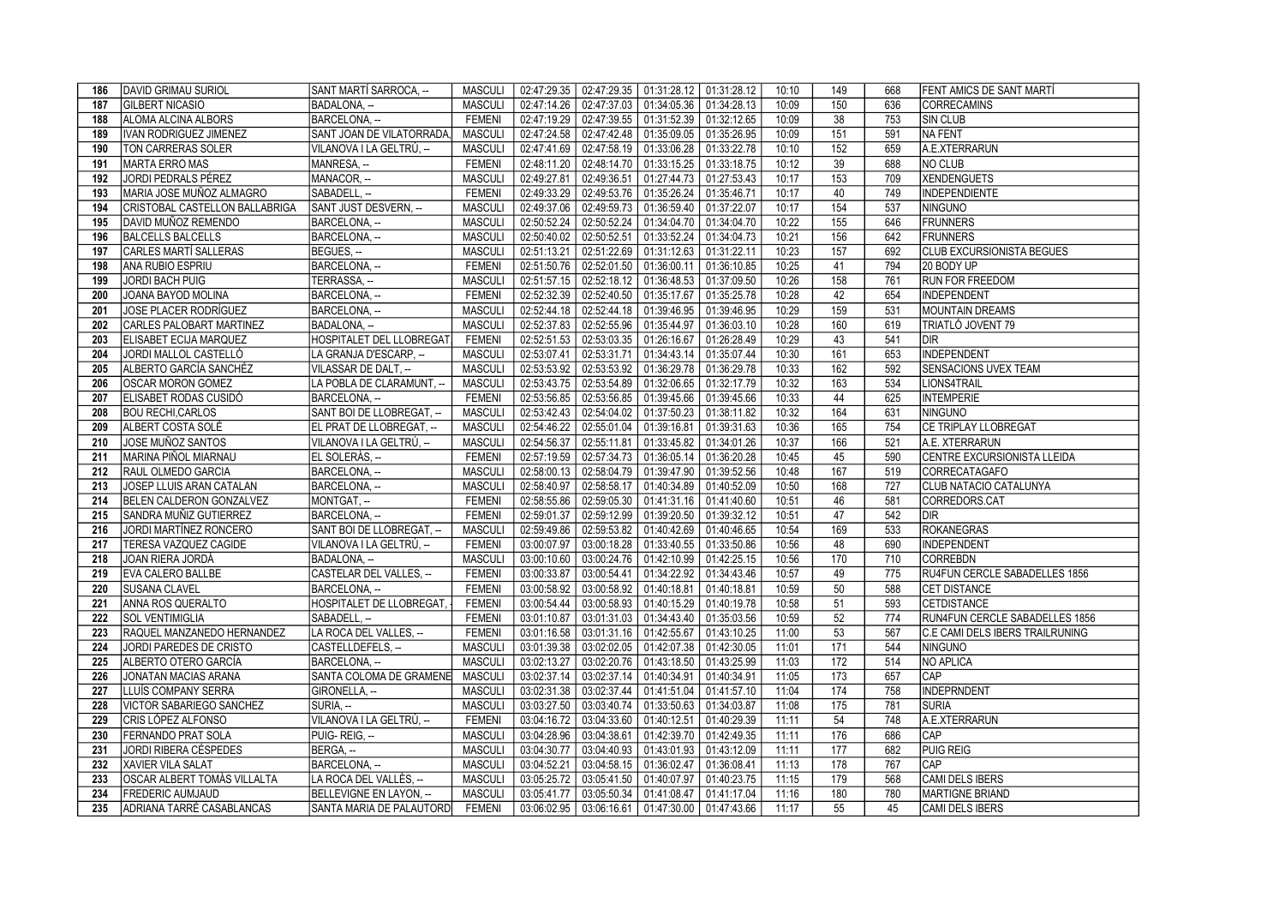| 186 | DAVID GRIMAU SURIOL                | SANT MARTÍ SARROCA, --          |                |             | MASCULI   02:47:29.35   02:47:29.35   01:31:28.12   01:31:28.12 |                           | 10:10 | 149              | 668 | <b>FENT AMICS DE SANT MARTÍ</b>  |
|-----|------------------------------------|---------------------------------|----------------|-------------|-----------------------------------------------------------------|---------------------------|-------|------------------|-----|----------------------------------|
| 187 | <b>GILBERT NICASIO</b>             | BADALONA, --                    | <b>MASCULI</b> | 02:47:14.26 | 02:47:37.03   01:34:05.36   01:34:28.13                         |                           | 10:09 | 150              | 636 | <b>CORRECAMINS</b>               |
| 188 | ALOMA ALCINA ALBORS                | BARCELONA. --                   | <b>FEMENI</b>  | 02:47:19.29 | 02:47:39.55   01:31:52.39   01:32:12.65                         |                           | 10:09 | 38               | 753 | <b>SIN CLUB</b>                  |
| 189 | IVAN RODRIGUEZ JIMENEZ             | SANT JOAN DE VILATORRADA.       | <b>MASCULI</b> |             | 02:47:24.58   02:47:42.48   01:35:09.05   01:35:26.95           |                           | 10:09 | 151              | 591 | NA FENT                          |
| 190 | TON CARRERAS SOLER                 | VILANOVA I LA GELTRÚ, --        | <b>MASCULI</b> | 02:47:41.69 | 02:47:58.19 01:33:06.28 01:33:22.78                             |                           | 10:10 | 152              | 659 | A.E.XTERRARUN                    |
| 191 | <b>MARTA ERRO MAS</b>              | MANRESA, --                     | <b>FEMENI</b>  | 02:48:11.20 | 02:48:14.70 01:33:15.25 01:33:18.75                             |                           | 10:12 | 39               | 688 | NO CLUB                          |
| 192 | <b>JORDI PEDRALS PÉREZ</b>         | MANACOR, --                     | <b>MASCULI</b> | 02:49:27.81 | 02:49:36.51                                                     | 01:27:44.73 01:27:53.43   | 10:17 | 153              | 709 | <b>XENDENGUETS</b>               |
| 193 | MARIA JOSE MUÑOZ ALMAGRO           | SABADELL, --                    | <b>FEMENI</b>  | 02:49:33.29 | 02:49:53.76 01:35:26.24 01:35:46.71                             |                           | 10:17 | 40               | 749 | <b>INDEPENDIENTE</b>             |
| 194 | CRISTOBAL CASTELLON BALLABRIGA     | SANT JUST DESVERN, -            | <b>MASCULI</b> | 02:49:37.06 | 02:49:59.73 01:36:59.40 01:37:22.07                             |                           | 10:17 | $\overline{154}$ | 537 | <b>NINGUNO</b>                   |
| 195 | DAVID MUÑOZ REMENDO                | BARCELONA, --                   | <b>MASCULI</b> | 02:50:52.24 | 02:50:52.24 01:34:04.70 01:34:04.70                             |                           | 10:22 | 155              | 646 | <b>FRUNNERS</b>                  |
| 196 | BALCELLS BALCELLS                  | BARCELONA, --                   | <b>MASCULI</b> | 02:50:40.02 | 02:50:52.51<br>01:33:52.24 01:34:04.73                          |                           | 10:21 | 156              | 642 | <b>FRUNNERS</b>                  |
| 197 | CARLES MARTÍ SALLERAS              | BEGUES, --                      | <b>MASCULI</b> | 02:51:13.21 | 02:51:22.69 01:31:12.63 01:31:22.11                             |                           | 10:23 | 157              | 692 | <b>CLUB EXCURSIONISTA BEGUES</b> |
| 198 | IANA RUBIO ESPRIU                  | BARCELONA, --                   | <b>FEMENI</b>  | 02:51:50.76 | 02:52:01.50<br>01:36:00.11 01:36:10.85                          |                           | 10:25 | 41               | 794 | 20 BODY UP                       |
| 199 | <b>JORDI BACH PUIG</b>             | TERRASSA, --                    | <b>MASCULI</b> | 02:51:57.15 | 02:52:18.12   01:36:48.53   01:37:09.50                         |                           | 10:26 | 158              | 761 | <b>RUN FOR FREEDOM</b>           |
| 200 | JOANA BAYOD MOLINA                 | BARCELONA, --                   | <b>FEMENI</b>  | 02:52:32.39 | 02:52:40.50<br>01:35:17.67 01:35:25.78                          |                           | 10:28 | 42               | 654 | <b>INDEPENDENT</b>               |
| 201 | <b>JOSE PLACER RODRÍGUEZ</b>       | BARCELONA. --                   | <b>MASCULI</b> | 02:52:44.18 | 02:52:44.18 01:39:46.95 01:39:46.95                             |                           | 10:29 | 159              | 531 | <b>MOUNTAIN DREAMS</b>           |
| 202 | CARLES PALOBART MARTINEZ           | BADALONA, --                    | <b>MASCULI</b> | 02:52:37.83 | 02:52:55.96<br>$01:35:44.97$ 01:36:03.10                        |                           | 10:28 | 160              | 619 | TRIATLÓ JOVENT 79                |
| 203 | ELISABET ECIJA MARQUEZ             | HOSPITALET DEL LLOBREGAT.       | <b>FEMENI</b>  | 02:52:51.53 | 02:53:03.35   01:26:16.67   01:26:28.49                         |                           | 10:29 | 43               | 541 | DIR                              |
| 204 | JORDI MALLOL CASTELLÓ              | LA GRANJA D'ESCARP, --          | <b>MASCULI</b> | 02:53:07.41 | 02:53:31.71                                                     | 01:34:43.14   01:35:07.44 | 10:30 | 161              | 653 | <b>INDEPENDENT</b>               |
| 205 | ALBERTO GARCÍA SANCHÉZ             | VILASSAR DE DALT, --            | <b>MASCULI</b> | 02:53:53.92 | 02:53:53.92<br>01:36:29.78 01:36:29.78                          |                           | 10:33 | 162              | 592 | SENSACIONS UVEX TEAM             |
| 206 | <b>OSCAR MORON GOMEZ</b>           | LA POBLA DE CLARAMUNT. --       | <b>MASCULI</b> | 02:53:43.75 | 02:53:54.89<br>$01:32:06.65$ 01:32:17.79                        |                           | 10:32 | 163              | 534 | LIONS4TRAIL                      |
| 207 | ELISABET RODAS CUSIDÓ              | BARCELONA, --                   | <b>FEMENI</b>  | 02:53:56.85 | 02:53:56.85<br>01:39:45.66 01:39:45.66                          |                           | 10:33 | 44               | 625 | <b>INTEMPERIE</b>                |
| 208 | <b>BOU RECHI.CARLOS</b>            | SANT BOI DE LLOBREGAT, --       | <b>MASCULI</b> | 02:53:42.43 | 02:54:04.02                                                     | 01:37:50.23 01:38:11.82   | 10:32 | 164              | 631 | <b>ININGUNO</b>                  |
| 209 | ALBERT COSTA SOLÉ                  | EL PRAT DE LLOBREGAT, --        | <b>MASCULI</b> | 02:54:46.22 | 02:55:01.04<br>01:39:16.81                                      | 01:39:31.63               | 10:36 | 165              | 754 | CE TRIPLAY LLOBREGAT             |
| 210 | JOSE MUÑOZ SANTOS                  | VILANOVA I LA GELTRÚ, --        | <b>MASCULI</b> | 02:54:56.37 | 02:55:11.81                                                     | 01:33:45.82   01:34:01.26 | 10:37 | 166              | 521 | A.E. XTERRARUN                   |
| 211 | MARINA PIÑOL MIARNAU               | EL SOLERÀS. --                  | <b>FEMENI</b>  | 02:57:19.59 | 02:57:34.73 01:36:05.14 01:36:20.28                             |                           | 10:45 | 45               | 590 | CENTRE EXCURSIONISTA LLEIDA      |
| 212 | RAUL OLMEDO GARCIA                 | BARCELONA, --                   | <b>MASCULI</b> | 02:58:00.13 | 02:58:04.79   01:39:47.90   01:39:52.56                         |                           | 10:48 | 167              | 519 | <b>CORRECATAGAFO</b>             |
| 213 | JOSEP LLUIS ARAN CATALAN           | BARCELONA, --                   | <b>MASCULI</b> | 02:58:40.97 | 02:58:58.17 01:40:34.89 01:40:52.09                             |                           | 10:50 | 168              | 727 | CLUB NATACIO CATALUNYA           |
| 214 | BELEN CALDERON GONZALVEZ           | MONTGAT, --                     | <b>FEMENI</b>  | 02:58:55.86 | 02:59:05.30   01:41:31.16   01:41:40.60                         |                           | 10:51 | 46               | 581 | CORREDORS.CAT                    |
| 215 | SANDRA MUÑIZ GUTIERREZ             | BARCELONA, --                   | <b>FEMENI</b>  | 02:59:01.37 | 02:59:12.99 01:39:20.50 01:39:32.12                             |                           | 10:51 | 47               | 542 | Idir.                            |
| 216 | JORDI MARTÍNEZ RONCERO             | SANT BOI DE LLOBREGAT, --       | <b>MASCULI</b> | 02:59:49.86 | 02:59:53.82 01:40:42.69 01:40:46.65                             |                           | 10:54 | 169              | 533 | <b>ROKANEGRAS</b>                |
| 217 | TERESA VAZQUEZ CAGIDE              | VILANOVA I LA GELTRÚ, --        | <b>FEMENI</b>  |             | 03:00:07.97 03:00:18.28 01:33:40.55 01:33:50.86                 |                           | 10:56 | 48               | 690 | <b>INDEPENDENT</b>               |
| 218 | <b>JOAN RIERA JORDÀ</b>            | BADALONA. --                    | <b>MASCULI</b> |             | 03:00:10.60   03:00:24.76   01:42:10.99   01:42:25.15           |                           | 10:56 | 170              | 710 | <b>CORREBDN</b>                  |
| 219 | EVA CALERO BALLBE                  | CASTELAR DEL VALLES, --         | <b>FEMENI</b>  | 03:00:33.87 | 03:00:54.41   01:34:22.92   01:34:43.46                         |                           | 10:57 | 49               | 775 | RU4FUN CERCLE SABADELLES 1856    |
| 220 | <b>SUSANA CLAVEL</b>               | BARCELONA, --                   | <b>FEMENI</b>  | 03:00:58.92 | 03:00:58.92 01:40:18.81                                         | 01:40:18.81               | 10:59 | 50               | 588 | <b>CET DISTANCE</b>              |
| 221 | ANNA ROS QUERALTO                  | HOSPITALET DE LLOBREGAT,        | <b>FEMENI</b>  |             | 03:00:54.44   03:00:58.93   01:40:15.29   01:40:19.78           |                           | 10:58 | 51               | 593 | <b>CETDISTANCE</b>               |
| 222 | <b>SOL VENTIMIGLIA</b>             | SABADELL. --                    | <b>FEMENI</b>  |             | 03:01:10.87   03:01:31.03   01:34:43.40   01:35:03.56           |                           | 10:59 | 52               | 774 | RUN4FUN CERCLE SABADELLES 1856   |
| 223 | RAQUEL MANZANEDO HERNANDEZ         | LA ROCA DEL VALLES, --          | <b>FEMENI</b>  |             | $03:01:16.58$   $03:01:31.16$   $01:42:55.67$   $01:43:10.25$   |                           | 11:00 | 53               | 567 | C.E CAMI DELS IBERS TRAILRUNING  |
| 224 | JORDI PAREDES DE CRISTO            | CASTELLDEFELS. --               | <b>MASCULI</b> | 03:01:39.38 | 03:02:02.05   01:42:07.38   01:42:30.05                         |                           | 11:01 | 171              | 544 | <b>NINGUNO</b>                   |
| 225 | ALBERTO OTERO GARCÍA               | BARCELONA, --                   | <b>MASCULI</b> | 03:02:13.27 | $\vert$ 03:02:20.76 $\vert$ 01:43:18.50 $\vert$ 01:43:25.99     |                           | 11:03 | 172              | 514 | NO APLICA                        |
| 226 | JONATAN MACIAS ARANA               | SANTA COLOMA DE GRAMENE         | <b>MASCULI</b> |             | 03:02:37.14 03:02:37.14 01:40:34.91 01:40:34.91                 |                           | 11:05 | 173              | 657 | <b>CAP</b>                       |
| 227 | LLUÍS COMPANY SERRA                | GIRONELLA, --                   | <b>MASCULI</b> | 03:02:31.38 | 03:02:37.44 01:41:51.04 01:41:57.10                             |                           | 11:04 | 174              | 758 | INDEPRNDENT                      |
| 228 | VICTOR SABARIEGO SANCHEZ           | SURIA. --                       | <b>MASCULI</b> | 03:03:27.50 | 03:03:40.74<br>01:33:50.63 01:34:03.87                          |                           | 11:08 | $\frac{175}{2}$  | 781 | <b>SURIA</b>                     |
| 229 | CRIS LÓPEZ ALFONSO                 | VILANOVA I LA GELTRÚ, --        | <b>FEMENI</b>  | 03:04:16.72 | 03:04:33.60  01:40:12.51  01:40:29.39                           |                           | 11:11 | 54               | 748 | A.E.XTERRARUN                    |
| 230 | FERNANDO PRAT SOLA                 | PUIG-REIG, --                   | <b>MASCULI</b> | 03:04:28.96 | 03:04:38.61   01:42:39.70   01:42:49.35                         |                           | 11:11 | 176              | 686 | <b>CAP</b>                       |
| 231 | JORDI RIBERA CÉSPEDES              | BERGA. --                       | <b>MASCULI</b> | 03:04:30.77 | 03:04:40.93 01:43:01.93 01:43:12.09                             |                           | 11:11 | 177              | 682 | <b>PUIG REIG</b>                 |
| 232 | <b>XAVIER VILA SALAT</b>           | BARCELONA, --                   | <b>MASCULI</b> | 03:04:52.21 | 03:04:58.15   01:36:02.47                                       | 01:36:08.41               | 11:13 | 178              | 767 | <b>CAP</b>                       |
| 233 | <b>OSCAR ALBERT TOMÀS VILLALTA</b> | LA ROCA DEL VALLÈS, --          | <b>MASCULI</b> | 03:05:25.72 | 03:05:41.50 01:40:07.97 01:40:23.75                             |                           | 11:15 | 179              | 568 | CAMI DELS IBERS                  |
| 234 | <b>FREDERIC AUMJAUD</b>            | BELLEVIGNE EN LAYON, -          | <b>MASCULI</b> | 03:05:41.77 | 03:05:50.34 01:41:08.47 01:41:17.04                             |                           | 11:16 | 180              | 780 | <b>MARTIGNE BRIAND</b>           |
| 235 | ADRIANA TARRÉ CASABLANCAS          | SANTA MARIA DE PALAUTORD FEMENI |                |             | $03:06:02.95$   $03:06:16.61$   $01:47:30.00$   $01:47:43.66$   |                           | 11:17 | 55               | 45  | CAMI DELS IBERS                  |